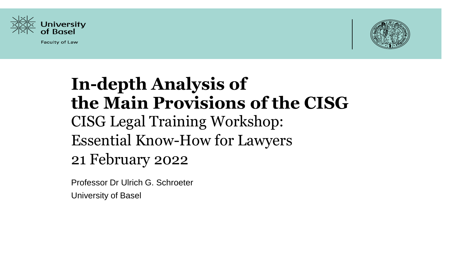

**Faculty of Law** 



# **In-depth Analysis of the Main Provisions of the CISG** CISG Legal Training Workshop: Essential Know-How for Lawyers 21 February 2022

Professor Dr Ulrich G. Schroeter University of Basel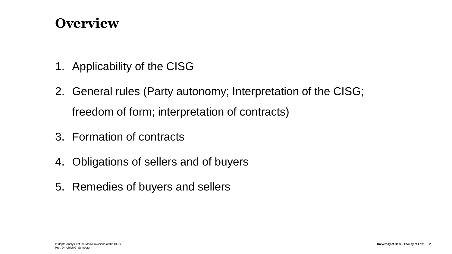#### **Overview**

- 1. Applicability of the CISG
- 2. General rules (Party autonomy; Interpretation of the CISG; freedom of form; interpretation of contracts)
- 3. Formation of contracts
- 4. Obligations of sellers and of buyers
- 5. Remedies of buyers and sellers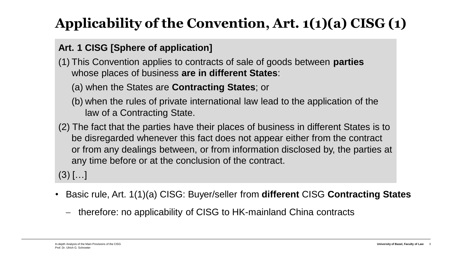## **Applicability of the Convention, Art. 1(1)(a) CISG (1)**

#### **Art. 1 CISG [Sphere of application]**

- (1) This Convention applies to contracts of sale of goods between **parties** whose places of business **are in different States**:
	- (a) when the States are **Contracting States**; or
	- (b) when the rules of private international law lead to the application of the law of a Contracting State.
- (2) The fact that the parties have their places of business in different States is to be disregarded whenever this fact does not appear either from the contract or from any dealings between, or from information disclosed by, the parties at any time before or at the conclusion of the contract.

 $(3)$   $[...]$ 

- Basic rule, Art. 1(1)(a) CISG: Buyer/seller from **different** CISG **Contracting States**
	- − therefore: no applicability of CISG to HK-mainland China contracts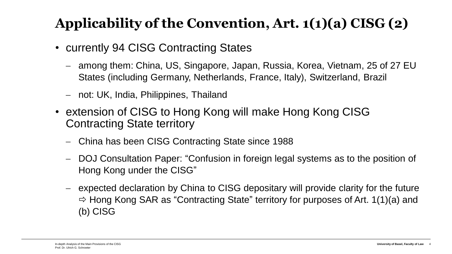## **Applicability of the Convention, Art. 1(1)(a) CISG (2)**

- currently 94 CISG Contracting States
	- − among them: China, US, Singapore, Japan, Russia, Korea, Vietnam, 25 of 27 EU States (including Germany, Netherlands, France, Italy), Switzerland, Brazil
	- − not: UK, India, Philippines, Thailand
- extension of CISG to Hong Kong will make Hong Kong CISG Contracting State territory
	- − China has been CISG Contracting State since 1988
	- − DOJ Consultation Paper: "Confusion in foreign legal systems as to the position of Hong Kong under the CISG"
	- − expected declaration by China to CISG depositary will provide clarity for the future  $\Rightarrow$  Hong Kong SAR as "Contracting State" territory for purposes of Art. 1(1)(a) and (b) CISG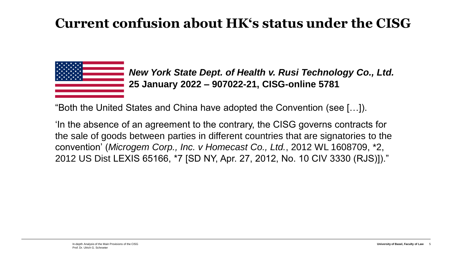#### **Current confusion about HK's status under the CISG**



*New York State Dept. of Health v. Rusi Technology Co., Ltd.* **25 January 2022 – 907022-21, CISG-online 5781**

"Both the United States and China have adopted the Convention (see […]).

'In the absence of an agreement to the contrary, the CISG governs contracts for the sale of goods between parties in different countries that are signatories to the convention' (*Microgem Corp., Inc. v Homecast Co., Ltd.*, 2012 WL 1608709, \*2, 2012 US Dist LEXIS 65166, \*7 [SD NY, Apr. 27, 2012, No. 10 CIV 3330 (RJS)])."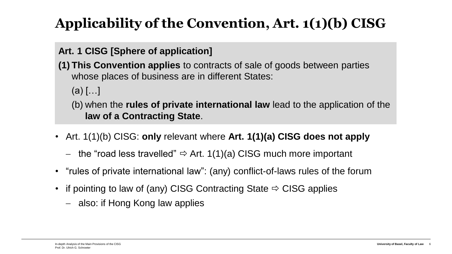## **Applicability of the Convention, Art. 1(1)(b) CISG**

#### **Art. 1 CISG [Sphere of application]**

- **(1) This Convention applies** to contracts of sale of goods between parties whose places of business are in different States:
	- $(a)$   $[...]$
	- (b) when the **rules of private international law** lead to the application of the **law of a Contracting State**.
- Art. 1(1)(b) CISG: **only** relevant where **Art. 1(1)(a) CISG does not apply**
	- $-$  the "road less travelled"  $\Rightarrow$  Art. 1(1)(a) CISG much more important
- "rules of private international law": (any) conflict-of-laws rules of the forum
- if pointing to law of (any) CISG Contracting State  $\Rightarrow$  CISG applies
	- − also: if Hong Kong law applies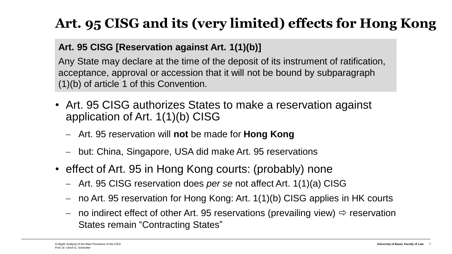## **Art. 95 CISG and its (very limited) effects for Hong Kong**

#### **Art. 95 CISG [Reservation against Art. 1(1)(b)]**

Any State may declare at the time of the deposit of its instrument of ratification, acceptance, approval or accession that it will not be bound by subparagraph (1)(b) of article 1 of this Convention.

- Art. 95 CISG authorizes States to make a reservation against application of Art. 1(1)(b) CISG
	- − Art. 95 reservation will **not** be made for **Hong Kong**
	- − but: China, Singapore, USA did make Art. 95 reservations
- effect of Art. 95 in Hong Kong courts: (probably) none
	- − Art. 95 CISG reservation does *per se* not affect Art. 1(1)(a) CISG
	- − no Art. 95 reservation for Hong Kong: Art. 1(1)(b) CISG applies in HK courts
	- − no indirect effect of other Art. 95 reservations (prevailing view)  $\Rightarrow$  reservation States remain "Contracting States"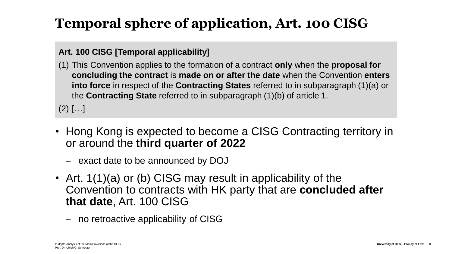## **Temporal sphere of application, Art. 100 CISG**

#### **Art. 100 CISG [Temporal applicability]**

(1) This Convention applies to the formation of a contract **only** when the **proposal for concluding the contract** is **made on or after the date** when the Convention **enters into force** in respect of the **Contracting States** referred to in subparagraph (1)(a) or the **Contracting State** referred to in subparagraph (1)(b) of article 1.

 $(2)$   $[...]$ 

- Hong Kong is expected to become a CISG Contracting territory in or around the **third quarter of 2022**
	- − exact date to be announced by DOJ
- Art. 1(1)(a) or (b) CISG may result in applicability of the Convention to contracts with HK party that are **concluded after that date**, Art. 100 CISG
	- − no retroactive applicability of CISG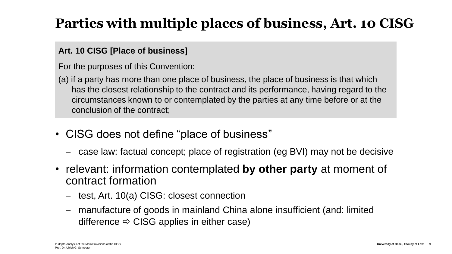### **Parties with multiple places of business, Art. 10 CISG**

#### **Art. 10 CISG [Place of business]**

For the purposes of this Convention:

- (a) if a party has more than one place of business, the place of business is that which has the closest relationship to the contract and its performance, having regard to the circumstances known to or contemplated by the parties at any time before or at the conclusion of the contract;
- CISG does not define "place of business"
	- − case law: factual concept; place of registration (eg BVI) may not be decisive
- relevant: information contemplated **by other party** at moment of contract formation
	- − test, Art. 10(a) CISG: closest connection
	- − manufacture of goods in mainland China alone insufficient (and: limited difference  $\Rightarrow$  CISG applies in either case)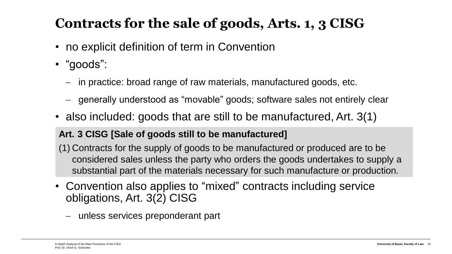### **Contracts for the sale of goods, Arts. 1, 3 CISG**

- no explicit definition of term in Convention
- "goods":
	- − in practice: broad range of raw materials, manufactured goods, etc.
	- − generally understood as "movable" goods; software sales not entirely clear
- also included: goods that are still to be manufactured, Art. 3(1)

#### **Art. 3 CISG [Sale of goods still to be manufactured]**

- (1) Contracts for the supply of goods to be manufactured or produced are to be considered sales unless the party who orders the goods undertakes to supply a substantial part of the materials necessary for such manufacture or production.
- Convention also applies to "mixed" contracts including service obligations, Art. 3(2) CISG
	- − unless services preponderant part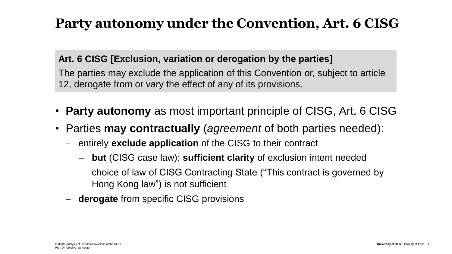#### **Party autonomy under the Convention, Art. 6 CISG**

#### **Art. 6 CISG [Exclusion, variation or derogation by the parties]**

The parties may exclude the application of this Convention or, subject to article 12, derogate from or vary the effect of any of its provisions.

- **Party autonomy** as most important principle of CISG, Art. 6 CISG
- Parties **may contractually** (*agreement* of both parties needed):
	- − entirely **exclude application** of the CISG to their contract
		- − **but** (CISG case law): **sufficient clarity** of exclusion intent needed
		- − choice of law of CISG Contracting State ("This contract is governed by Hong Kong law") is not sufficient
	- − **derogate** from specific CISG provisions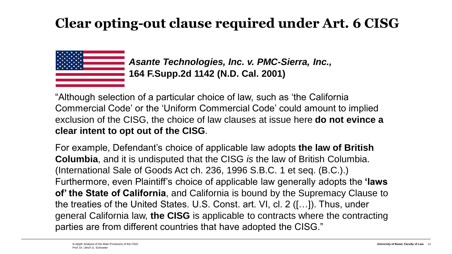#### **Clear opting-out clause required under Art. 6 CISG**



*Asante Technologies, Inc. v. PMC-Sierra, Inc.,* **164 F.Supp.2d 1142 (N.D. Cal. 2001)**

"Although selection of a particular choice of law, such as 'the California Commercial Code' or the 'Uniform Commercial Code' could amount to implied exclusion of the CISG, the choice of law clauses at issue here **do not evince a clear intent to opt out of the CISG**.

For example, Defendant's choice of applicable law adopts **the law of British Columbia**, and it is undisputed that the CISG *is* the law of British Columbia. (International Sale of Goods Act ch. 236, 1996 S.B.C. 1 et seq. (B.C.).) Furthermore, even Plaintiff's choice of applicable law generally adopts the **'laws of' the State of California**, and California is bound by the Supremacy Clause to the treaties of the United States. U.S. Const. art. VI, cl. 2 ([…]). Thus, under general California law, **the CISG** is applicable to contracts where the contracting parties are from different countries that have adopted the CISG."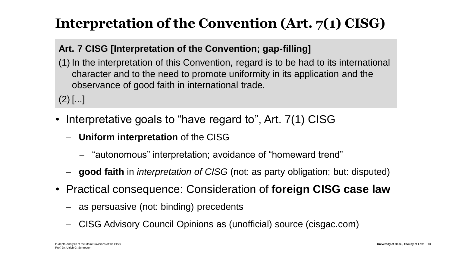### **Interpretation of the Convention (Art. 7(1) CISG)**

#### **Art. 7 CISG [Interpretation of the Convention; gap-filling]**

(1) In the interpretation of this Convention, regard is to be had to its international character and to the need to promote uniformity in its application and the observance of good faith in international trade.

 $(2)$  [...]

- Interpretative goals to "have regard to", Art. 7(1) CISG
	- − **Uniform interpretation** of the CISG
		- − "autonomous" interpretation; avoidance of "homeward trend"
	- − **good faith** in *interpretation of CISG* (not: as party obligation; but: disputed)
- Practical consequence: Consideration of **foreign CISG case law**
	- − as persuasive (not: binding) precedents
	- − CISG Advisory Council Opinions as (unofficial) source (cisgac.com)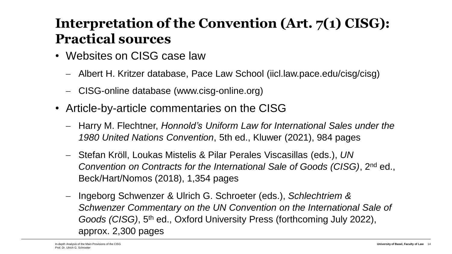### **Interpretation of the Convention (Art. 7(1) CISG): Practical sources**

- Websites on CISG case law
	- − Albert H. Kritzer database, Pace Law School (iicl.law.pace.edu/cisg/cisg)
	- − CISG-online database (www.cisg-online.org)
- Article-by-article commentaries on the CISG
	- − Harry M. Flechtner, *Honnold's Uniform Law for International Sales under the 1980 United Nations Convention*, 5th ed., Kluwer (2021), 984 pages
	- − Stefan Kröll, Loukas Mistelis & Pilar Perales Viscasillas (eds.), *UN Convention on Contracts for the International Sale of Goods (CISG)*, 2nd ed., Beck/Hart/Nomos (2018), 1,354 pages
	- − Ingeborg Schwenzer & Ulrich G. Schroeter (eds.), *Schlechtriem & Schwenzer Commentary on the UN Convention on the International Sale of Goods (CISG)*, 5th ed., Oxford University Press (forthcoming July 2022), approx. 2,300 pages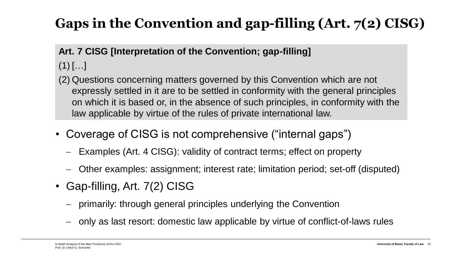## **Gaps in the Convention and gap-filling (Art. 7(2) CISG)**

#### **Art. 7 CISG [Interpretation of the Convention; gap-filling]**

- $(1)$   $[...]$
- (2) Questions concerning matters governed by this Convention which are not expressly settled in it are to be settled in conformity with the general principles on which it is based or, in the absence of such principles, in conformity with the law applicable by virtue of the rules of private international law.
- Coverage of CISG is not comprehensive ("internal gaps")
	- − Examples (Art. 4 CISG): validity of contract terms; effect on property
	- − Other examples: assignment; interest rate; limitation period; set-off (disputed)
- Gap-filling, Art. 7(2) CISG
	- − primarily: through general principles underlying the Convention
	- − only as last resort: domestic law applicable by virtue of conflict-of-laws rules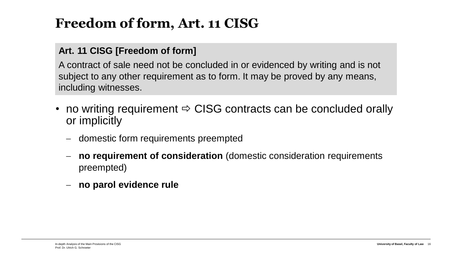### **Freedom of form, Art. 11 CISG**

#### **Art. 11 CISG [Freedom of form]**

A contract of sale need not be concluded in or evidenced by writing and is not subject to any other requirement as to form. It may be proved by any means, including witnesses.

- no writing requirement  $\Rightarrow$  CISG contracts can be concluded orally or implicitly
	- − domestic form requirements preempted
	- − **no requirement of consideration** (domestic consideration requirements preempted)
	- − **no parol evidence rule**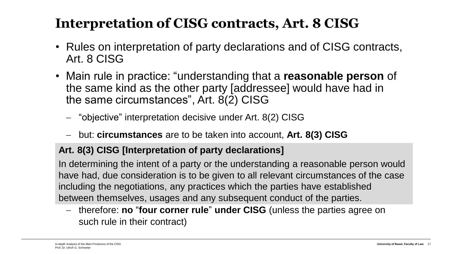#### **Interpretation of CISG contracts, Art. 8 CISG**

- Rules on interpretation of party declarations and of CISG contracts, Art. 8 CISG
- Main rule in practice: "understanding that a **reasonable person** of the same kind as the other party [addressee] would have had in the same circumstances", Art. 8(2) CISG
	- − "objective" interpretation decisive under Art. 8(2) CISG
	- − but: **circumstances** are to be taken into account, **Art. 8(3) CISG**

#### **Art. 8(3) CISG [Interpretation of party declarations]**

In determining the intent of a party or the understanding a reasonable person would have had, due consideration is to be given to all relevant circumstances of the case including the negotiations, any practices which the parties have established between themselves, usages and any subsequent conduct of the parties.

− therefore: **no** "**four corner rule**" **under CISG** (unless the parties agree on such rule in their contract)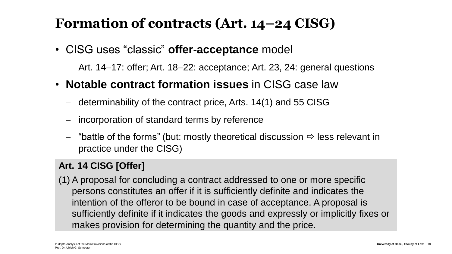### **Formation of contracts (Art. 14–24 CISG)**

- CISG uses "classic" **offer-acceptance** model
	- − Art. 14–17: offer; Art. 18–22: acceptance; Art. 23, 24: general questions
- **Notable contract formation issues** in CISG case law
	- − determinability of the contract price, Arts. 14(1) and 55 CISG
	- ncorporation of standard terms by reference
	- − "battle of the forms" (but: mostly theoretical discussion less relevant in practice under the CISG)

#### **Art. 14 CISG [Offer]**

(1) A proposal for concluding a contract addressed to one or more specific persons constitutes an offer if it is sufficiently definite and indicates the intention of the offeror to be bound in case of acceptance. A proposal is sufficiently definite if it indicates the goods and expressly or implicitly fixes or makes provision for determining the quantity and the price.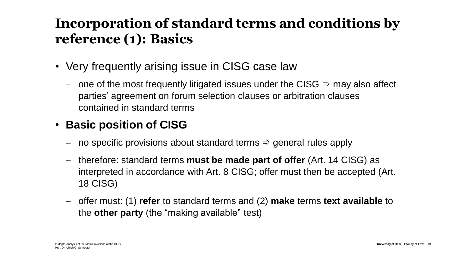### **Incorporation of standard terms and conditions by reference (1): Basics**

- Very frequently arising issue in CISG case law
	- − one of the most frequently litigated issues under the CISG may also affect parties' agreement on forum selection clauses or arbitration clauses contained in standard terms

#### • **Basic position of CISG**

- − no specific provisions about standard terms  $\Rightarrow$  general rules apply
- − therefore: standard terms **must be made part of offer** (Art. 14 CISG) as interpreted in accordance with Art. 8 CISG; offer must then be accepted (Art. 18 CISG)
- − offer must: (1) **refer** to standard terms and (2) **make** terms **text available** to the **other party** (the "making available" test)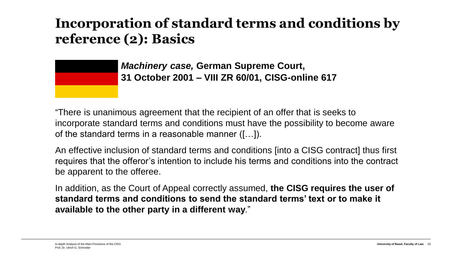#### **Incorporation of standard terms and conditions by reference (2): Basics**

*Machinery case,* **German Supreme Court, 31 October 2001 – VIII ZR 60/01, CISG-online 617**

"There is unanimous agreement that the recipient of an offer that is seeks to incorporate standard terms and conditions must have the possibility to become aware of the standard terms in a reasonable manner ([…]).

An effective inclusion of standard terms and conditions [into a CISG contract] thus first requires that the offeror's intention to include his terms and conditions into the contract be apparent to the offeree.

In addition, as the Court of Appeal correctly assumed, **the CISG requires the user of standard terms and conditions to send the standard terms' text or to make it available to the other party in a different way**."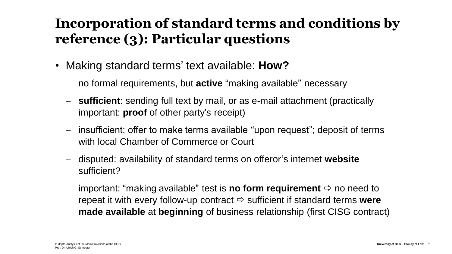### **Incorporation of standard terms and conditions by reference (3): Particular questions**

- Making standard terms' text available: **How?**
	- − no formal requirements, but **active** "making available" necessary
	- − **sufficient**: sending full text by mail, or as e-mail attachment (practically important: **proof** of other party's receipt)
	- − insufficient: offer to make terms available "upon request"; deposit of terms with local Chamber of Commerce or Court
	- − disputed: availability of standard terms on offeror's internet **website** sufficient?
	- important: "making available" test is **no form requirement**  $\Rightarrow$  no need to repeat it with every follow-up contract  $\Rightarrow$  sufficient if standard terms **were made available** at **beginning** of business relationship (first CISG contract)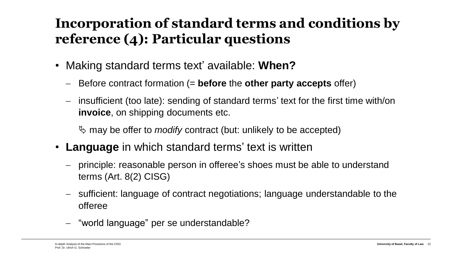### **Incorporation of standard terms and conditions by reference (4): Particular questions**

- Making standard terms text' available: **When?**
	- − Before contract formation (= **before** the **other party accepts** offer)
	- − insufficient (too late): sending of standard terms' text for the first time with/on **invoice**, on shipping documents etc.

may be offer to *modify* contract (but: unlikely to be accepted)

- **Language** in which standard terms' text is written
	- principle: reasonable person in offeree's shoes must be able to understand terms (Art. 8(2) CISG)
	- − sufficient: language of contract negotiations; language understandable to the offeree
	- − "world language" per se understandable?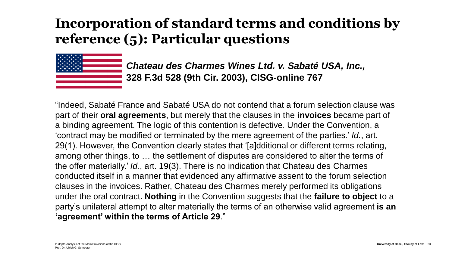### **Incorporation of standard terms and conditions by reference (5): Particular questions**



*Chateau des Charmes Wines Ltd. v. Sabaté USA, Inc.,* **328 F.3d 528 (9th Cir. 2003), CISG-online 767**

"Indeed, Sabaté France and Sabaté USA do not contend that a forum selection clause was part of their **oral agreements**, but merely that the clauses in the **invoices** became part of a binding agreement. The logic of this contention is defective. Under the Convention, a 'contract may be modified or terminated by the mere agreement of the parties.' *Id.*, art. 29(1). However, the Convention clearly states that '[a]dditional or different terms relating, among other things, to … the settlement of disputes are considered to alter the terms of the offer materially.' *Id.*, art. 19(3). There is no indication that Chateau des Charmes conducted itself in a manner that evidenced any affirmative assent to the forum selection clauses in the invoices. Rather, Chateau des Charmes merely performed its obligations under the oral contract. **Nothing** in the Convention suggests that the **failure to object** to a party's unilateral attempt to alter materially the terms of an otherwise valid agreement **is an 'agreement' within the terms of Article 29**."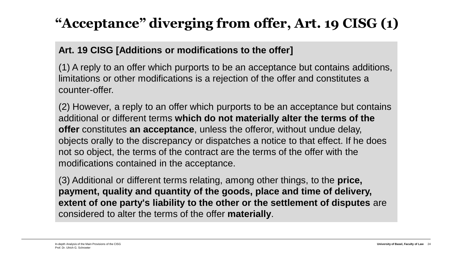## **"Acceptance" diverging from offer, Art. 19 CISG (1)**

#### **Art. 19 CISG [Additions or modifications to the offer]**

(1) A reply to an offer which purports to be an acceptance but contains additions, limitations or other modifications is a rejection of the offer and constitutes a counter-offer.

 $\overline{P}$ (2) However, a reply to an offer which purports to be an acceptance but contains additional or different terms **which do not materially alter the terms of the offer** constitutes **an acceptance**, unless the offeror, without undue delay, objects orally to the discrepancy or dispatches a notice to that effect. If he does not so object, the terms of the contract are the terms of the offer with the modifications contained in the acceptance.

 $\sqrt{2}$ (3) Additional or different terms relating, among other things, to the **price, payment, quality and quantity of the goods, place and time of delivery, extent of one party's liability to the other or the settlement of disputes** are considered to alter the terms of the offer **materially**.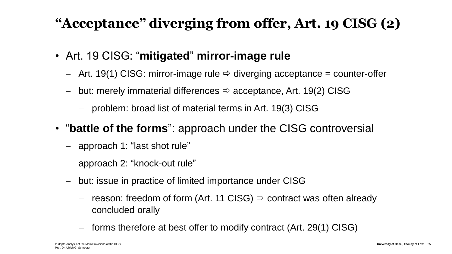## **"Acceptance" diverging from offer, Art. 19 CISG (2)**

- Art. 19 CISG: "**mitigated**" **mirror-image rule**
	- − Art. 19(1) CISG: mirror-image rule diverging acceptance = counter-offer
	- − but: merely immaterial differences acceptance, Art. 19(2) CISG
		- − problem: broad list of material terms in Art. 19(3) CISG
- "**battle of the forms**": approach under the CISG controversial
	- − approach 1: "last shot rule"
	- − approach 2: "knock-out rule"
	- − but: issue in practice of limited importance under CISG
		- reason: freedom of form (Art. 11 CISG)  $\Rightarrow$  contract was often already concluded orally
		- − forms therefore at best offer to modify contract (Art. 29(1) CISG)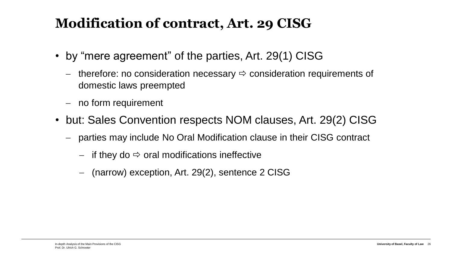### **Modification of contract, Art. 29 CISG**

- by "mere agreement" of the parties, Art. 29(1) CISG
	- − therefore: no consideration necessary consideration requirements of domestic laws preempted
	- − no form requirement
- but: Sales Convention respects NOM clauses, Art. 29(2) CISG
	- parties may include No Oral Modification clause in their CISG contract
		- $−$  if they do  $\Rightarrow$  oral modifications ineffective
		- − (narrow) exception, Art. 29(2), sentence 2 CISG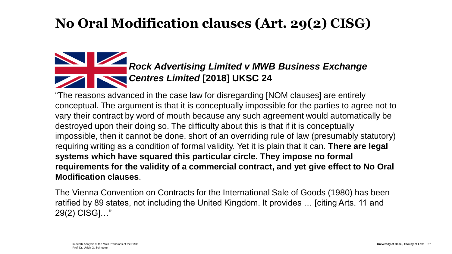#### **No Oral Modification clauses (Art. 29(2) CISG)**

#### *Rock Advertising Limited v MWB Business Exchange Centres Limited* **[2018] UKSC 24**

"The reasons advanced in the case law for disregarding [NOM clauses] are entirely conceptual. The argument is that it is conceptually impossible for the parties to agree not to vary their contract by word of mouth because any such agreement would automatically be destroyed upon their doing so. The difficulty about this is that if it is conceptually impossible, then it cannot be done, short of an overriding rule of law (presumably statutory) requiring writing as a condition of formal validity. Yet it is plain that it can. **There are legal systems which have squared this particular circle. They impose no formal requirements for the validity of a commercial contract, and yet give effect to No Oral Modification clauses**.

The Vienna Convention on Contracts for the International Sale of Goods (1980) has been ratified by 89 states, not including the United Kingdom. It provides … [citing Arts. 11 and 29(2) CISG]…"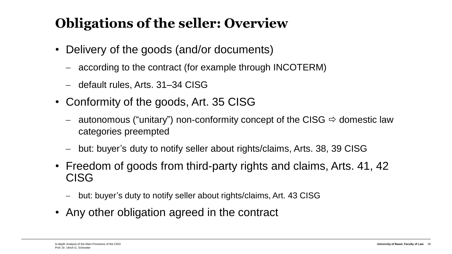### **Obligations of the seller: Overview**

- Delivery of the goods (and/or documents)
	- − according to the contract (for example through INCOTERM)
	- − default rules, Arts. 31–34 CISG
- Conformity of the goods, Art. 35 CISG
	- − autonomous ("unitary") non-conformity concept of the CISG domestic law categories preempted
	- − but: buyer's duty to notify seller about rights/claims, Arts. 38, 39 CISG
- Freedom of goods from third-party rights and claims, Arts. 41, 42 CISG
	- − but: buyer's duty to notify seller about rights/claims, Art. 43 CISG
- Any other obligation agreed in the contract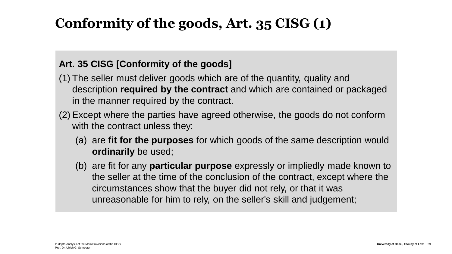### **Conformity of the goods, Art. 35 CISG (1)**

#### **Art. 35 CISG [Conformity of the goods]**

- (1) The seller must deliver goods which are of the quantity, quality and description **required by the contract** and which are contained or packaged in the manner required by the contract.
- (2) Except where the parties have agreed otherwise, the goods do not conform with the contract unless they:
	- (a) are **fit for the purposes** for which goods of the same description would **ordinarily** be used;
	- (b) are fit for any **particular purpose** expressly or impliedly made known to the seller at the time of the conclusion of the contract, except where the circumstances show that the buyer did not rely, or that it was unreasonable for him to rely, on the seller's skill and judgement;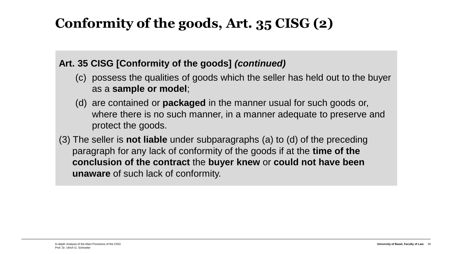### **Conformity of the goods, Art. 35 CISG (2)**

#### **Art. 35 CISG [Conformity of the goods]** *(continued)*

- (c) possess the qualities of goods which the seller has held out to the buyer as a **sample or model**;
- (d) are contained or **packaged** in the manner usual for such goods or, where there is no such manner, in a manner adequate to preserve and protect the goods.
- (3) The seller is **not liable** under subparagraphs (a) to (d) of the preceding paragraph for any lack of conformity of the goods if at the **time of the conclusion of the contract** the **buyer knew** or **could not have been unaware** of such lack of conformity.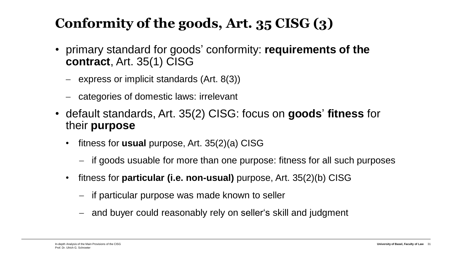### **Conformity of the goods, Art. 35 CISG (3)**

- primary standard for goods' conformity: **requirements of the contract**, Art. 35(1) CISG
	- − express or implicit standards (Art. 8(3))
	- − categories of domestic laws: irrelevant
- default standards, Art. 35(2) CISG: focus on **goods**' **fitness** for their **purpose**
	- fitness for **usual** purpose, Art. 35(2)(a) CISG
		- − if goods usuable for more than one purpose: fitness for all such purposes
	- fitness for **particular (i.e. non-usual)** purpose, Art. 35(2)(b) CISG
		- − if particular purpose was made known to seller
		- − and buyer could reasonably rely on seller's skill and judgment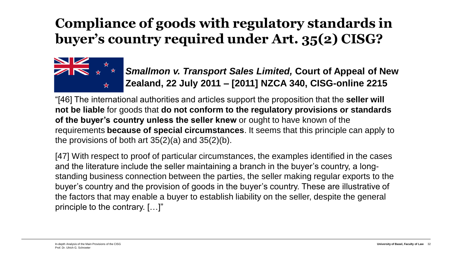### **Compliance of goods with regulatory standards in buyer's country required under Art. 35(2) CISG?**



*Smallmon v. Transport Sales Limited,* **Court of Appeal of New Zealand, 22 July 2011 – [2011] NZCA 340, CISG-online 2215**

"[46] The international authorities and articles support the proposition that the **seller will not be liable** for goods that **do not conform to the regulatory provisions or standards of the buyer's country unless the seller knew** or ought to have known of the requirements **because of special circumstances**. It seems that this principle can apply to the provisions of both art  $35(2)(a)$  and  $35(2)(b)$ .

[47] With respect to proof of particular circumstances, the examples identified in the cases and the literature include the seller maintaining a branch in the buyer's country, a longstanding business connection between the parties, the seller making regular exports to the buyer's country and the provision of goods in the buyer's country. These are illustrative of the factors that may enable a buyer to establish liability on the seller, despite the general principle to the contrary. […]"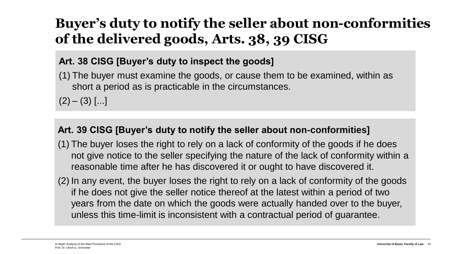### **Buyer's duty to notify the seller about non-conformities of the delivered goods, Arts. 38, 39 CISG**

#### **Art. 38 CISG [Buyer's duty to inspect the goods]**

(1) The buyer must examine the goods, or cause them to be examined, within as short a period as is practicable in the circumstances.

 $(2) - (3)$  [...]

#### **Art. 39 CISG [Buyer's duty to notify the seller about non-conformities]**

- (1) The buyer loses the right to rely on a lack of conformity of the goods if he does not give notice to the seller specifying the nature of the lack of conformity within a reasonable time after he has discovered it or ought to have discovered it.
- (2) In any event, the buyer loses the right to rely on a lack of conformity of the goods if he does not give the seller notice thereof at the latest within a period of two years from the date on which the goods were actually handed over to the buyer, unless this time-limit is inconsistent with a contractual period of guarantee.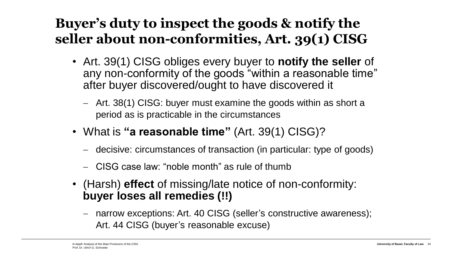### **Buyer's duty to inspect the goods & notify the seller about non-conformities, Art. 39(1) CISG**

- Art. 39(1) CISG obliges every buyer to **notify the seller** of any non-conformity of the goods "within a reasonable time" after buyer discovered/ought to have discovered it
	- − Art. 38(1) CISG: buyer must examine the goods within as short a period as is practicable in the circumstances
- What is **"a reasonable time"** (Art. 39(1) CISG)?
	- − decisive: circumstances of transaction (in particular: type of goods)
	- − CISG case law: "noble month" as rule of thumb
- (Harsh) **effect** of missing/late notice of non-conformity: **buyer loses all remedies (!!)**
	- narrow exceptions: Art. 40 CISG (seller's constructive awareness); Art. 44 CISG (buyer's reasonable excuse)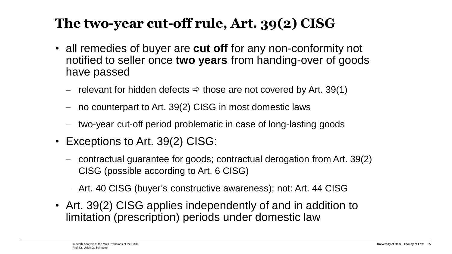### **The two-year cut-off rule, Art. 39(2) CISG**

- all remedies of buyer are **cut off** for any non-conformity not notified to seller once **two years** from handing-over of goods have passed
	- − relevant for hidden defects  $\Rightarrow$  those are not covered by Art. 39(1)
	- no counterpart to Art. 39(2) CISG in most domestic laws
	- two-year cut-off period problematic in case of long-lasting goods
- Exceptions to Art. 39(2) CISG:
	- − contractual guarantee for goods; contractual derogation from Art. 39(2) CISG (possible according to Art. 6 CISG)
	- − Art. 40 CISG (buyer's constructive awareness); not: Art. 44 CISG
- Art. 39(2) CISG applies independently of and in addition to limitation (prescription) periods under domestic law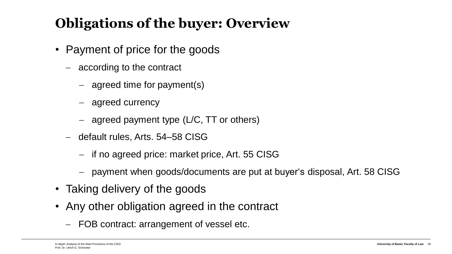## **Obligations of the buyer: Overview**

- Payment of price for the goods
	- − according to the contract
		- − agreed time for payment(s)
		- − agreed currency
		- − agreed payment type (L/C, TT or others)
	- − default rules, Arts. 54–58 CISG
		- − if no agreed price: market price, Art. 55 CISG
		- payment when goods/documents are put at buyer's disposal, Art. 58 CISG
- Taking delivery of the goods
- Any other obligation agreed in the contract
	- − FOB contract: arrangement of vessel etc.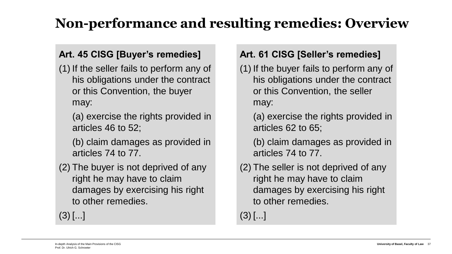## **Non-performance and resulting remedies: Overview**

#### **Art. 45 CISG [Buyer's remedies]**

- (1) If the seller fails to perform any of his obligations under the contract or this Convention, the buyer may:
	- (a) exercise the rights provided in articles 46 to 52;
	- (b) claim damages as provided in articles 74 to 77.
- (2) The buyer is not deprived of any right he may have to claim damages by exercising his right to other remedies.

 $(3)$   $[...]$ 

#### **Art. 61 CISG [Seller's remedies]**

- (1) If the buyer fails to perform any of his obligations under the contract or this Convention, the seller may:
	- (a) exercise the rights provided in articles 62 to 65;
	- (b) claim damages as provided in articles 74 to 77.
- (2) The seller is not deprived of any right he may have to claim damages by exercising his right to other remedies.

 $(3)$  [...]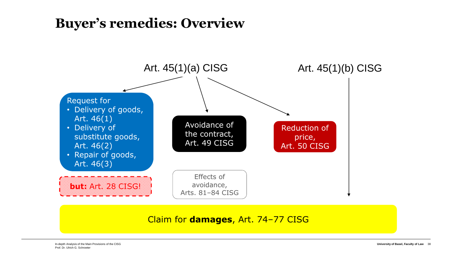#### **Buyer's remedies: Overview**



Claim for **damages**, Art. 74–77 CISG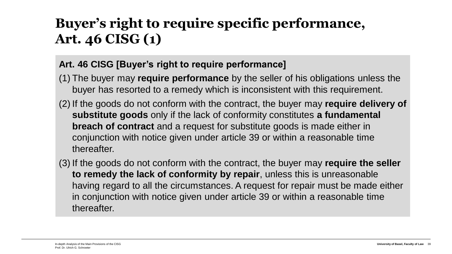### **Buyer's right to require specific performance, Art. 46 CISG (1)**

#### **Art. 46 CISG [Buyer's right to require performance]**

- (1) The buyer may **require performance** by the seller of his obligations unless the buyer has resorted to a remedy which is inconsistent with this requirement.
- (2) If the goods do not conform with the contract, the buyer may **require delivery of substitute goods** only if the lack of conformity constitutes **a fundamental breach of contract** and a request for substitute goods is made either in conjunction with notice given under article 39 or within a reasonable time thereafter.
- (3) If the goods do not conform with the contract, the buyer may **require the seller to remedy the lack of conformity by repair**, unless this is unreasonable having regard to all the circumstances. A request for repair must be made either in conjunction with notice given under article 39 or within a reasonable time thereafter.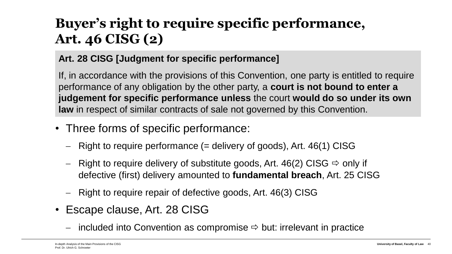## **Buyer's right to require specific performance, Art. 46 CISG (2)**

#### **Art. 28 CISG [Judgment for specific performance]**

If, in accordance with the provisions of this Convention, one party is entitled to require performance of any obligation by the other party, a **court is not bound to enter a judgement for specific performance unless** the court **would do so under its own law** in respect of similar contracts of sale not governed by this Convention.

- Three forms of specific performance:
	- − Right to require performance (= delivery of goods), Art. 46(1) CISG
	- − Right to require delivery of substitute goods, Art. 46(2) CISG  $\Rightarrow$  only if defective (first) delivery amounted to **fundamental breach**, Art. 25 CISG
	- − Right to require repair of defective goods, Art. 46(3) CISG
- Escape clause, Art. 28 CISG
	- − included into Convention as compromise but: irrelevant in practice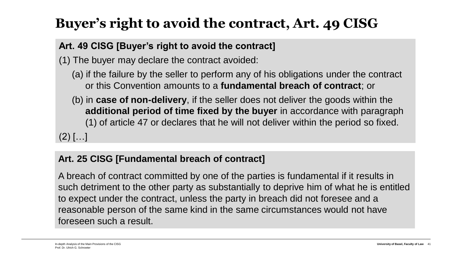## **Buyer's right to avoid the contract, Art. 49 CISG**

#### **Art. 49 CISG [Buyer's right to avoid the contract]**

(1) The buyer may declare the contract avoided:

- (a) if the failure by the seller to perform any of his obligations under the contract or this Convention amounts to a **fundamental breach of contract**; or
- (b) in **case of non-delivery**, if the seller does not deliver the goods within the **additional period of time fixed by the buyer** in accordance with paragraph (1) of article 47 or declares that he will not deliver within the period so fixed.

 $(2)$   $[...]$ 

#### **Art. 25 CISG [Fundamental breach of contract]**

A breach of contract committed by one of the parties is fundamental if it results in such detriment to the other party as substantially to deprive him of what he is entitled to expect under the contract, unless the party in breach did not foresee and a reasonable person of the same kind in the same circumstances would not have foreseen such a result.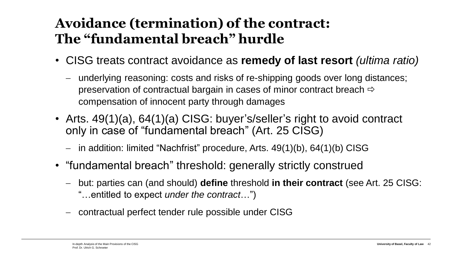### **Avoidance (termination) of the contract: The "fundamental breach" hurdle**

- CISG treats contract avoidance as **remedy of last resort** *(ultima ratio)*
	- − underlying reasoning: costs and risks of re-shipping goods over long distances; preservation of contractual bargain in cases of minor contract breach  $\Rightarrow$ compensation of innocent party through damages
- Arts. 49(1)(a), 64(1)(a) CISG: buyer's/seller's right to avoid contract only in case of "fundamental breach" (Art. 25 CISG)
	- − in addition: limited "Nachfrist" procedure, Arts. 49(1)(b), 64(1)(b) CISG
- "fundamental breach" threshold: generally strictly construed
	- − but: parties can (and should) **define** threshold **in their contract** (see Art. 25 CISG: "…entitled to expect *under the contract*…")
	- − contractual perfect tender rule possible under CISG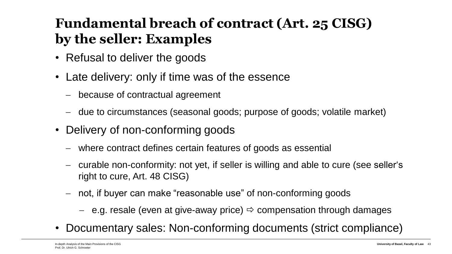## **Fundamental breach of contract (Art. 25 CISG) by the seller: Examples**

- Refusal to deliver the goods
- Late delivery: only if time was of the essence
	- − because of contractual agreement
	- − due to circumstances (seasonal goods; purpose of goods; volatile market)
- Delivery of non-conforming goods
	- − where contract defines certain features of goods as essential
	- − curable non-conformity: not yet, if seller is willing and able to cure (see seller's right to cure, Art. 48 CISG)
	- − not, if buyer can make "reasonable use" of non-conforming goods
		- − e.g. resale (even at give-away price) compensation through damages
- Documentary sales: Non-conforming documents (strict compliance)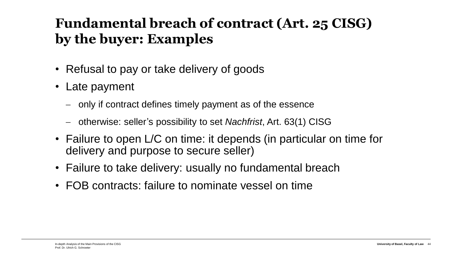### **Fundamental breach of contract (Art. 25 CISG) by the buyer: Examples**

- Refusal to pay or take delivery of goods
- Late payment
	- − only if contract defines timely payment as of the essence
	- − otherwise: seller's possibility to set *Nachfrist*, Art. 63(1) CISG
- Failure to open L/C on time: it depends (in particular on time for delivery and purpose to secure seller)
- Failure to take delivery: usually no fundamental breach
- FOB contracts: failure to nominate vessel on time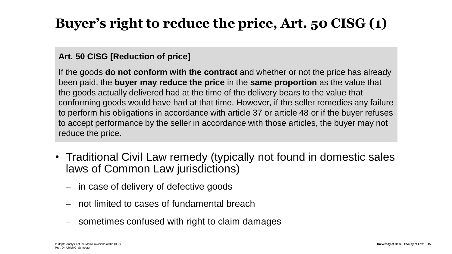## **Buyer's right to reduce the price, Art. 50 CISG (1)**

#### **Art. 50 CISG [Reduction of price]**

If the goods **do not conform with the contract** and whether or not the price has already been paid, the **buyer may reduce the price** in the **same proportion** as the value that the goods actually delivered had at the time of the delivery bears to the value that conforming goods would have had at that time. However, if the seller remedies any failure to perform his obligations in accordance with article 37 or article 48 or if the buyer refuses to accept performance by the seller in accordance with those articles, the buyer may not reduce the price.

- Traditional Civil Law remedy (typically not found in domestic sales laws of Common Law jurisdictions)
	- − in case of delivery of defective goods
	- − not limited to cases of fundamental breach
	- sometimes confused with right to claim damages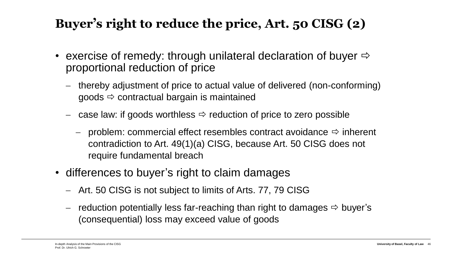#### **Buyer's right to reduce the price, Art. 50 CISG (2)**

- exercise of remedy: through unilateral declaration of buyer  $\Rightarrow$ proportional reduction of price
	- − thereby adjustment of price to actual value of delivered (non-conforming) goods  $\Rightarrow$  contractual bargain is maintained
	- − case law: if goods worthless reduction of price to zero possible
		- − problem: commercial effect resembles contract avoidance  $\Rightarrow$  inherent contradiction to Art. 49(1)(a) CISG, because Art. 50 CISG does not require fundamental breach
- differences to buyer's right to claim damages
	- − Art. 50 CISG is not subject to limits of Arts. 77, 79 CISG
	- − reduction potentially less far-reaching than right to damages  $\Rightarrow$  buyer's (consequential) loss may exceed value of goods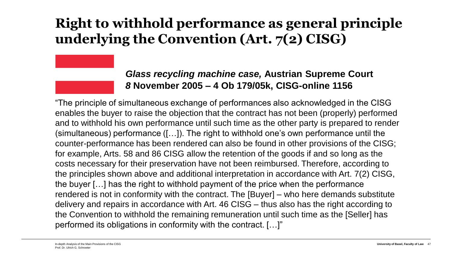### **Right to withhold performance as general principle underlying the Convention (Art. 7(2) CISG)**

#### *Glass recycling machine case,* **Austrian Supreme Court** *8* **November 2005 – 4 Ob 179/05k, CISG-online 1156**

"The principle of simultaneous exchange of performances also acknowledged in the CISG enables the buyer to raise the objection that the contract has not been (properly) performed and to withhold his own performance until such time as the other party is prepared to render (simultaneous) performance ([…]). The right to withhold one's own performance until the counter-performance has been rendered can also be found in other provisions of the CISG; for example, Arts. 58 and 86 CISG allow the retention of the goods if and so long as the costs necessary for their preservation have not been reimbursed. Therefore, according to the principles shown above and additional interpretation in accordance with Art. 7(2) CISG, the buyer […] has the right to withhold payment of the price when the performance rendered is not in conformity with the contract. The [Buyer] – who here demands substitute delivery and repairs in accordance with Art. 46 CISG – thus also has the right according to the Convention to withhold the remaining remuneration until such time as the [Seller] has performed its obligations in conformity with the contract. […]"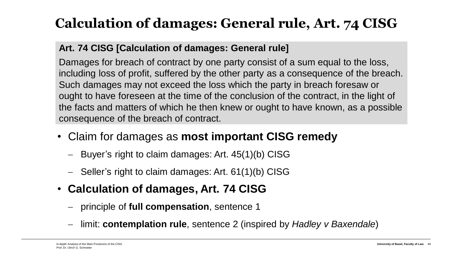## **Calculation of damages: General rule, Art. 74 CISG**

#### **Art. 74 CISG [Calculation of damages: General rule]**

Damages for breach of contract by one party consist of a sum equal to the loss, including loss of profit, suffered by the other party as a consequence of the breach. Such damages may not exceed the loss which the party in breach foresaw or ought to have foreseen at the time of the conclusion of the contract, in the light of the facts and matters of which he then knew or ought to have known, as a possible consequence of the breach of contract.

- Claim for damages as **most important CISG remedy**
	- − Buyer's right to claim damages: Art. 45(1)(b) CISG
	- − Seller's right to claim damages: Art. 61(1)(b) CISG
- **Calculation of damages, Art. 74 CISG**
	- − principle of **full compensation**, sentence 1
	- − limit: **contemplation rule**, sentence 2 (inspired by *Hadley v Baxendale*)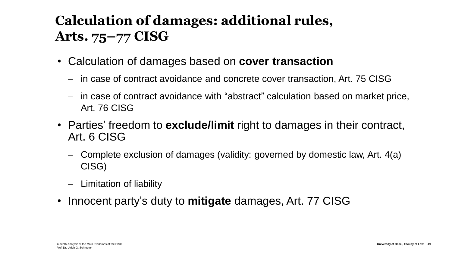## **Calculation of damages: additional rules, Arts. 75–77 CISG**

- Calculation of damages based on **cover transaction**
	- − in case of contract avoidance and concrete cover transaction, Art. 75 CISG
	- − in case of contract avoidance with "abstract" calculation based on market price, Art. 76 CISG
- Parties' freedom to **exclude/limit** right to damages in their contract, Art. 6 CISG
	- − Complete exclusion of damages (validity: governed by domestic law, Art. 4(a) CISG)
	- − Limitation of liability
- Innocent party's duty to **mitigate** damages, Art. 77 CISG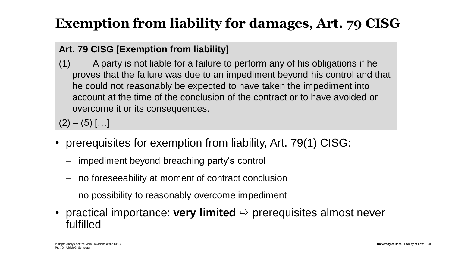## **Exemption from liability for damages, Art. 79 CISG**

#### **Art. 79 CISG [Exemption from liability]**

(1) A party is not liable for a failure to perform any of his obligations if he proves that the failure was due to an impediment beyond his control and that he could not reasonably be expected to have taken the impediment into account at the time of the conclusion of the contract or to have avoided or overcome it or its consequences.

 $(2) - (5)$  [...]

- prerequisites for exemption from liability, Art. 79(1) CISG:
	- − impediment beyond breaching party's control
	- no foreseeability at moment of contract conclusion
	- − no possibility to reasonably overcome impediment
- practical importance: **very limited**  $\Rightarrow$  prerequisites almost never fulfilled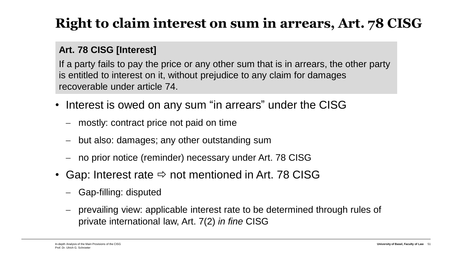## **Right to claim interest on sum in arrears, Art. 78 CISG**

#### **Art. 78 CISG [Interest]**

If a party fails to pay the price or any other sum that is in arrears, the other party is entitled to interest on it, without prejudice to any claim for damages recoverable under article 74.

- Interest is owed on any sum "in arrears" under the CISG
	- − mostly: contract price not paid on time
	- − but also: damages; any other outstanding sum
	- − no prior notice (reminder) necessary under Art. 78 CISG
- Gap: Interest rate  $\Leftrightarrow$  not mentioned in Art. 78 CISG
	- − Gap-filling: disputed
	- − prevailing view: applicable interest rate to be determined through rules of private international law, Art. 7(2) *in fine* CISG